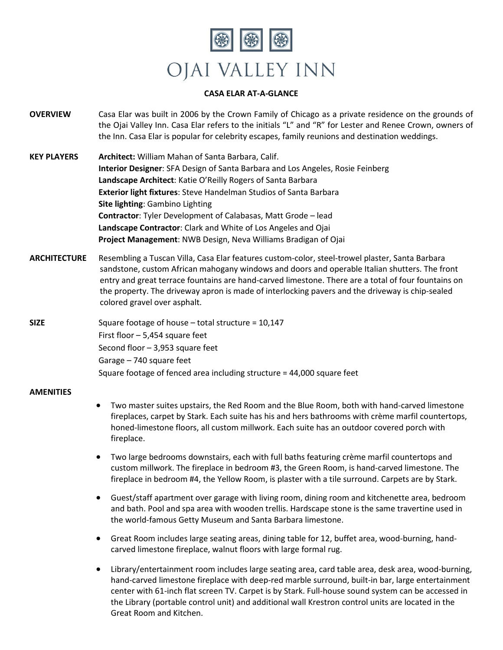

## **CASA ELAR AT-A-GLANCE**

- **OVERVIEW** Casa Elar was built in 2006 by the Crown Family of Chicago as a private residence on the grounds of the Ojai Valley Inn. Casa Elar refers to the initials "L" and "R" for Lester and Renee Crown, owners of the Inn. Casa Elar is popular for celebrity escapes, family reunions and destination weddings.
- **KEY PLAYERS Architect:** William Mahan of Santa Barbara, Calif. **Interior Designer**: SFA Design of Santa Barbara and Los Angeles, Rosie Feinberg **Landscape Architect**: Katie O'Reilly Rogers of Santa Barbara **Exterior light fixtures**: Steve Handelman Studios of Santa Barbara **Site lighting**: Gambino Lighting **Contractor**: Tyler Development of Calabasas, Matt Grode – lead **Landscape Contractor**: Clark and White of Los Angeles and Ojai **Project Management**: NWB Design, Neva Williams Bradigan of Ojai
- **ARCHITECTURE** Resembling a Tuscan Villa, Casa Elar features custom-color, steel-trowel plaster, Santa Barbara sandstone, custom African mahogany windows and doors and operable Italian shutters. The front entry and great terrace fountains are hand-carved limestone. There are a total of four fountains on the property. The driveway apron is made of interlocking pavers and the driveway is chip-sealed colored gravel over asphalt.

**SIZE** Square footage of house – total structure = 10,147 First floor – 5,454 square feet Second floor – 3,953 square feet Garage – 740 square feet Square footage of fenced area including structure = 44,000 square feet

## **AMENITIES**

- Two master suites upstairs, the Red Room and the Blue Room, both with hand-carved limestone fireplaces, carpet by Stark. Each suite has his and hers bathrooms with crème marfil countertops, honed-limestone floors, all custom millwork. Each suite has an outdoor covered porch with fireplace.
- Two large bedrooms downstairs, each with full baths featuring crème marfil countertops and custom millwork. The fireplace in bedroom #3, the Green Room, is hand-carved limestone. The fireplace in bedroom #4, the Yellow Room, is plaster with a tile surround. Carpets are by Stark.
- Guest/staff apartment over garage with living room, dining room and kitchenette area, bedroom and bath. Pool and spa area with wooden trellis. Hardscape stone is the same travertine used in the world-famous Getty Museum and Santa Barbara limestone.
- Great Room includes large seating areas, dining table for 12, buffet area, wood-burning, handcarved limestone fireplace, walnut floors with large formal rug.
- Library/entertainment room includes large seating area, card table area, desk area, wood-burning, hand-carved limestone fireplace with deep-red marble surround, built-in bar, large entertainment center with 61-inch flat screen TV. Carpet is by Stark. Full-house sound system can be accessed in the Library (portable control unit) and additional wall Krestron control units are located in the Great Room and Kitchen.